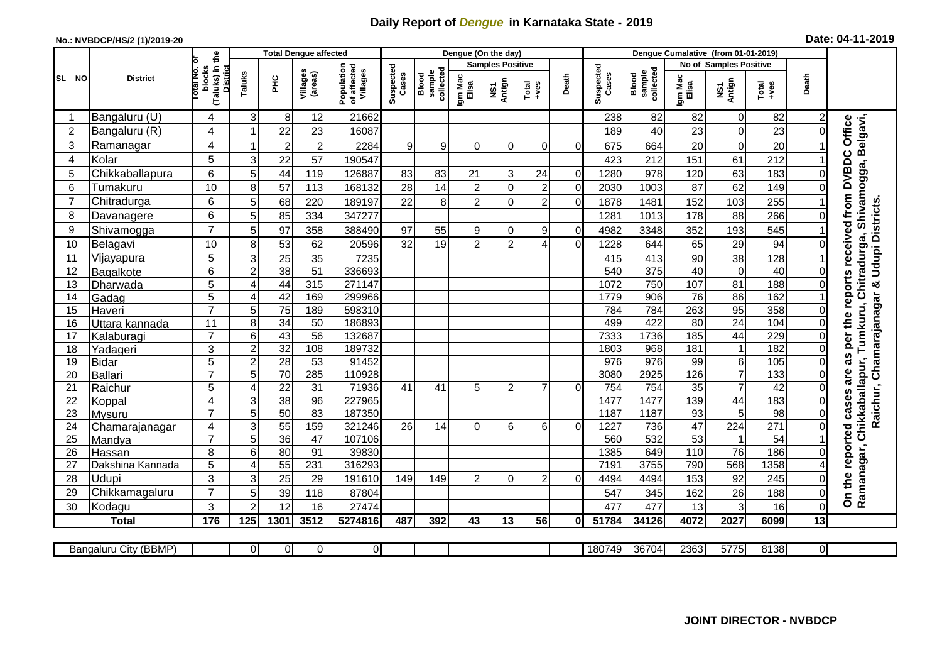## **Daily Report of** *Dengue* **in Karnataka State - 2019**

## **No.: NVBDCP/HS/2 (1)/2019-20 Date: 04-11-2019**

|                |                            |                                                             |                | <b>Total Dengue affected</b> |                     |                                       |                    |                              |                  | Dengue (On the day)     |                                                              |                |                    |                              | Dengue Cumalative (from 01-01-2019) |                                 |                        |                |                                                                                   |
|----------------|----------------------------|-------------------------------------------------------------|----------------|------------------------------|---------------------|---------------------------------------|--------------------|------------------------------|------------------|-------------------------|--------------------------------------------------------------|----------------|--------------------|------------------------------|-------------------------------------|---------------------------------|------------------------|----------------|-----------------------------------------------------------------------------------|
|                |                            |                                                             |                |                              |                     |                                       |                    |                              |                  | <b>Samples Positive</b> |                                                              |                |                    |                              |                                     | No of Samples Positive          |                        |                |                                                                                   |
| SL NO          | <b>District</b>            | (Taluks) in the<br>otal No. of<br>blocks<br><b>District</b> | Taluks         | ŦЕ                           | Villages<br>(areas) | Population<br>of affected<br>Villages | Suspected<br>Cases | collected<br>sample<br>Blood | Igm Mac<br>Elisa | NS1<br>Antign           | $\begin{array}{c}\n\text{Total} \\ \text{+ves}\n\end{array}$ | Death          | Suspected<br>Cases | collected<br>sample<br>Blood | Igm Mac<br>Elisa                    | NS1<br>Antign                   | Total<br>+ves          | Death          |                                                                                   |
| -1             | Bangaluru (U)              | 4                                                           | 3              | 8 <sup>1</sup>               | 12                  | 21662                                 |                    |                              |                  |                         |                                                              |                | 238                | 82                           | 82                                  | $\overline{0}$                  | 82                     | $\overline{2}$ |                                                                                   |
| 2              | Bangaluru (R)              | 4                                                           |                | 22                           | 23                  | 16087                                 |                    |                              |                  |                         |                                                              |                | 189                | 40                           | 23                                  | $\mathbf 0$                     | 23                     | 0              | Office                                                                            |
| $\mathbf{3}$   | Ramanagar                  | 4                                                           | -1             | $\overline{2}$               | $\overline{a}$      | 2284                                  | 9                  | 9                            | $\Omega$         | $\overline{0}$          | 0                                                            | 0              | 675                | 664                          | 20                                  | $\pmb{0}$                       | 20                     |                | elgavi,                                                                           |
| 4              | Kolar                      | 5                                                           | 3              | 22                           | 57                  | 190547                                |                    |                              |                  |                         |                                                              |                | 423                | 212                          | 151                                 | 61                              | 212                    |                |                                                                                   |
| 5              | Chikkaballapura            | 6                                                           | 5              | 44                           | 119                 | 126887                                | 83                 | 83                           | 21               | $\overline{3}$          | 24                                                           | $\overline{0}$ | 1280               | 978                          | 120                                 | 63                              | 183                    | $\overline{0}$ | Shivamogga, B                                                                     |
| 6              | Tumakuru                   | 10                                                          | 8              | 57                           | 113                 | 168132                                | 28                 | 14                           | $\overline{c}$   | $\overline{0}$          | $\overline{2}$                                               | $\overline{0}$ | 2030               | 1003                         | 87                                  | 62                              | 149                    | $\Omega$       |                                                                                   |
| $\overline{7}$ | Chitradurga                | 6                                                           | 5              | 68                           | 220                 | 189197                                | 22                 | $\,8\,$                      | $\overline{c}$   | $\overline{0}$          | $\overline{2}$                                               | $\overline{0}$ | 1878               | 1481                         | 152                                 | 103                             | 255                    |                |                                                                                   |
| 8              | Davanagere                 | 6                                                           | 5              | 85                           | 334                 | 347277                                |                    |                              |                  |                         |                                                              |                | 1281               | 1013                         | 178                                 | 88                              | 266                    | $\Omega$       |                                                                                   |
| 9              | Shivamogga                 | $\overline{7}$                                              | 5              | 97                           | 358                 | 388490                                | 97                 | 55                           | 9                | $\overline{0}$          | 9                                                            | $\Omega$       | 4982               | 3348                         | 352                                 | 193                             | 545                    |                | per the reports received from DVBDC<br>Raichur, Chamarajanagar & Udupi Districts. |
| 10             | Belagavi                   | 10                                                          | 8              | 53                           | 62                  | 20596                                 | 32                 | 19                           | $\overline{2}$   | $\overline{2}$          |                                                              | $\Omega$       | 1228               | 644                          | 65                                  | 29                              | 94                     | $\Omega$       | Tumkuru, Chitradurga,                                                             |
| 11             | Vijayapura                 | 5                                                           | 3              | $\overline{25}$              | 35                  | 7235                                  |                    |                              |                  |                         |                                                              |                | 415                | 413                          | 90                                  | 38                              | 128                    |                |                                                                                   |
| 12             | Bagalkote                  | 6                                                           | $\overline{2}$ | 38                           | 51                  | 336693                                |                    |                              |                  |                         |                                                              |                | 540                | 375                          | 40                                  | $\overline{0}$                  | 40                     | $\Omega$       |                                                                                   |
| 13             | Dharwada                   | $\overline{5}$                                              | 4              | 44                           | 315                 | 271147                                |                    |                              |                  |                         |                                                              |                | 1072               | 750                          | 107                                 | 81                              | 188                    | $\Omega$       |                                                                                   |
| 14             | Gadag                      | $\overline{5}$                                              | 4              | 42                           | 169                 | 299966                                |                    |                              |                  |                         |                                                              |                | 1779               | 906                          | 76                                  | 86                              | 162                    |                |                                                                                   |
| 15             | Haveri                     | $\overline{7}$                                              | 5              | 75                           | 189                 | 598310                                |                    |                              |                  |                         |                                                              |                | 784                | 784                          | 263                                 | 95                              | 358                    | 0              |                                                                                   |
| 16             | Uttara kannada             | 11                                                          | 8              | $\overline{34}$              | $\overline{50}$     | 186893                                |                    |                              |                  |                         |                                                              |                | 499                | 422                          | $\overline{80}$                     | 24                              | 104                    | 0              |                                                                                   |
| 17             | Kalaburagi                 | $\overline{7}$                                              | 6              | 43                           | $\overline{56}$     | 132687                                |                    |                              |                  |                         |                                                              |                | 7333               | 1736                         | 185                                 | 44                              | 229                    | 0              |                                                                                   |
| 18             | Yadageri                   | 3                                                           | $\overline{c}$ | 32                           | 108                 | 189732                                |                    |                              |                  |                         |                                                              |                | 1803               | 968                          | 181                                 | $\mathbf{1}$                    | 182                    | 0              |                                                                                   |
| 19             | <b>Bidar</b>               | $\overline{5}$                                              | $\overline{c}$ | 28                           | $\overline{53}$     | 91452                                 |                    |                              |                  |                         |                                                              |                | 976                | $\overline{976}$             | 99                                  | 6                               | 105                    | 0              | as                                                                                |
| 20             | <b>Ballari</b>             | $\overline{7}$                                              | 5              | 70                           | 285                 | 110928                                |                    |                              |                  |                         |                                                              |                | 3080               | 2925                         | 126                                 | $\overline{7}$                  | 133                    | 0              | are                                                                               |
| 21             | Raichur                    | 5                                                           | 4              | 22                           | $\overline{31}$     | 71936                                 | 41                 | 41                           | 5                | 2                       | 7                                                            | $\Omega$       | 754                | 754                          | 35                                  | $\overline{7}$                  | 42                     | $\Omega$       | Chikkaballapur,                                                                   |
| 22             | Koppal                     | 4                                                           | 3              | 38                           | 96                  | 227965                                |                    |                              |                  |                         |                                                              |                | 1477               | 1477                         | 139                                 | 44                              | 183                    | 0              |                                                                                   |
| 23             | Mysuru                     | $\overline{7}$                                              | 5              | 50                           | $\overline{83}$     | 187350                                |                    |                              |                  |                         |                                                              |                | 1187               | 1187                         | 93                                  | $\overline{5}$                  | 98                     | $\mathbf 0$    |                                                                                   |
| 24             | Chamarajanagar             | 4<br>$\overline{7}$                                         | 3              | 55                           | 159                 | 321246                                | 26                 | 14                           | $\Omega$         | 6 <sup>1</sup>          | 6                                                            | $\overline{0}$ | 1227               | 736                          | 47                                  | 224                             | 271                    | $\mathbf 0$    |                                                                                   |
| 25<br>26       | Mandya                     | 8                                                           | 5              | 36<br>80                     | 47<br>91            | 107106<br>39830                       |                    |                              |                  |                         |                                                              |                | 560<br>1385        | 532<br>649                   | 53<br>110                           | $\mathbf{1}$<br>$\overline{76}$ | $\overline{54}$<br>186 | 0              |                                                                                   |
| 27             | Hassan<br>Dakshina Kannada | 5                                                           | 6<br>4         | 55                           | 231                 | 316293                                |                    |                              |                  |                         |                                                              |                | 7191               | 3755                         | 790                                 | 568                             | 1358                   |                |                                                                                   |
| 28             | Udupi                      | 3                                                           | 3              | 25                           | 29                  | 191610                                | 149                | 149                          | $\overline{2}$   | $\overline{0}$          | $\overline{2}$                                               | $\Omega$       | 4494               | 4494                         | 153                                 | 92                              | 245                    | 0              | On the reported cases<br>Ramanagar,                                               |
| 29             | Chikkamagaluru             | $\overline{7}$                                              | 5              | 39                           | 118                 | 87804                                 |                    |                              |                  |                         |                                                              |                | 547                | 345                          | 162                                 | 26                              | 188                    | 0              |                                                                                   |
| 30             | Kodagu                     | 3                                                           | $\overline{2}$ | 12                           | 16                  | 27474                                 |                    |                              |                  |                         |                                                              |                | 477                | 477                          | 13                                  | 3                               | 16                     | $\mathbf 0$    |                                                                                   |
|                | <b>Total</b>               | 176                                                         | 125            | 1301                         | 3512                | 5274816                               | 487                | 392                          | 43               | 13                      | 56                                                           | 0I             | 51784              | 34126                        | 4072                                | 2027                            | 6099                   | 13             |                                                                                   |
|                |                            |                                                             |                |                              |                     |                                       |                    |                              |                  |                         |                                                              |                |                    |                              |                                     |                                 |                        |                |                                                                                   |
|                | Bangaluru City (BBMP)      |                                                             | $\Omega$       | 0                            | $\overline{0}$      | $\overline{0}$                        |                    |                              |                  |                         |                                                              |                | 180749             | 36704                        | 2363                                | 5775                            | 8138                   | ΟI             |                                                                                   |